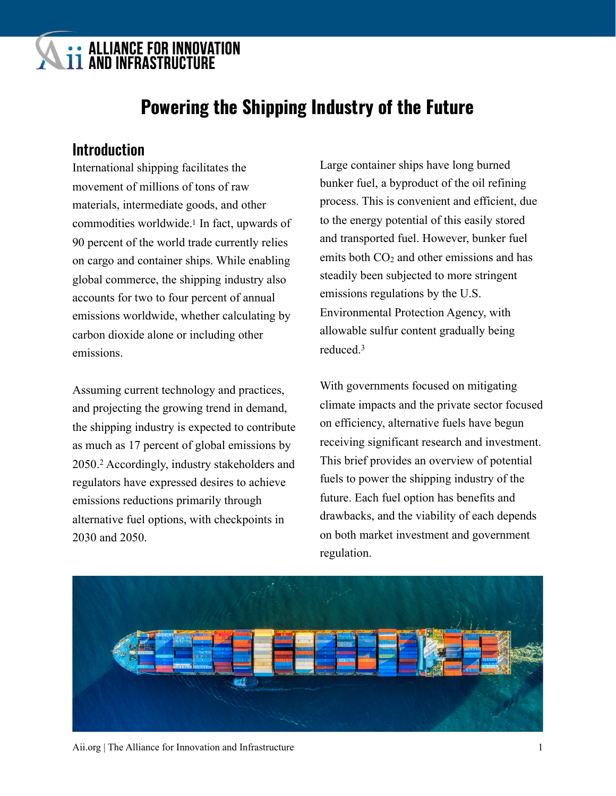# **: ALLIANCE FOR INNOVATION<br>11 AND INFRASTRUCTURE**

## <span id="page-0-0"></span>**Powering the Shipping Industry of the Future**

## **Introduction**

International shipping facilitates the movement of millions of tons of raw materials, intermediate goods, and other commodities worldwide[.1](#page-7-0) In fact, upwards of 90 percent of the world trade currently relies on cargo and container ships. While enabling global commerce, the shipping industry also accounts for two to four percent of annual emissions worldwide, whether calculating by carbon dioxide alone or including other emissions.

<span id="page-0-1"></span>Assuming current technology and practices, and projecting the growing trend in demand, the shipping industry is expected to contribute as much as 17 percent of global emissions by [2](#page-7-1)050.<sup>2</sup> Accordingly, industry stakeholders and regulators have expressed desires to achieve emissions reductions primarily through alternative fuel options, with checkpoints in 2030 and 2050.

Large container ships have long burned bunker fuel, a byproduct of the oil refining process. This is convenient and efficient, due to the energy potential of this easily stored and transported fuel. However, bunker fuel emits both  $CO<sub>2</sub>$  and other emissions and has steadily been subjected to more stringent emissions regulations by the U.S. Environmental Protection Agency, with allowable sulfur content gradually being reduced.[3](#page-7-2)

<span id="page-0-2"></span>With governments focused on mitigating climate impacts and the private sector focused on efficiency, alternative fuels have begun receiving significant research and investment. This brief provides an overview of potential fuels to power the shipping industry of the future. Each fuel option has benefits and drawbacks, and the viability of each depends on both market investment and government regulation.



Aii.org | The Alliance for Innovation and Infrastructure 1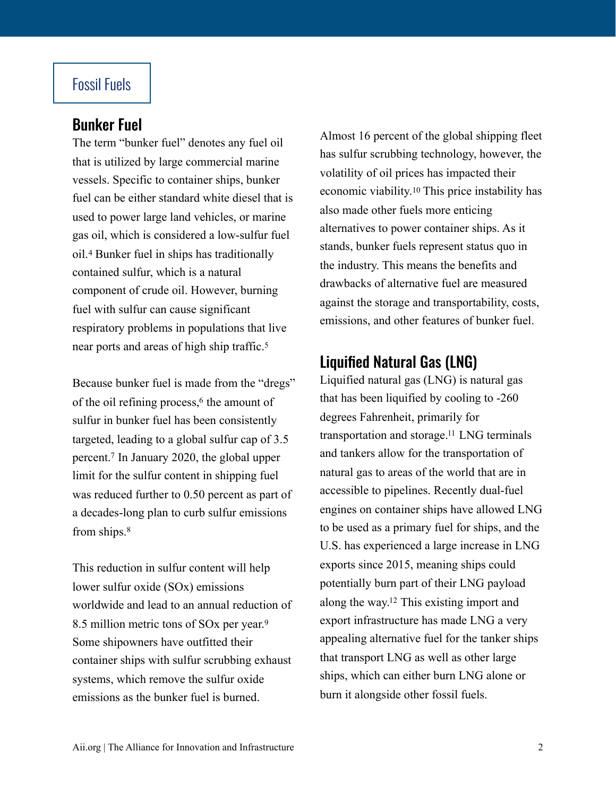## Fossil Fuels

### Bunker Fuel

<span id="page-1-0"></span>The term "bunker fuel" denotes any fuel oil that is utilized by large commercial marine vessels. Specific to container ships, bunker fuel can be either standard white diesel that is used to power large land vehicles, or marine gas oil, which is considered a low-sulfur fuel oil.<sup>4</sup>Bunker fuel in ships has traditionally contained sulfur, which is a natural component of crude oil. However, burning fuel with sulfur can cause significant respiratory problems in populations that live near ports and areas of high ship traffic[.5](#page-7-4)

<span id="page-1-3"></span>Because bunker fuel is made from the "dregs" of the oil refining process[,](#page-7-5) $6$  the amount of sulfur in bunker fuel has been consistently targeted, leading to a global sulfur cap of 3.5 percent[.](#page-7-6)<sup>[7](#page-7-6)</sup> In January 2020, the global upper limit for the sulfur content in shipping fuel was reduced further to 0.50 percent as part of a decades-long plan to curb sulfur emissions from ships.[8](#page-7-7)

<span id="page-1-5"></span><span id="page-1-4"></span>This reduction in sulfur content will help lower sulfur oxide (SOx) emissions worldwide and lead to an annual reduction of 8.5 million metric tons of SOx per year.[9](#page-7-8) Some shipowners have outfitted their container ships with sulfur scrubbing exhaust systems, which remove the sulfur oxide emissions as the bunker fuel is burned.

<span id="page-1-6"></span>Almost 16 percent of the global shipping fleet has sulfur scrubbing technology, however, the volatility of oil prices has impacted their economic viability.[10](#page-7-9) This price instability has also made other fuels more enticing alternatives to power container ships. As it stands, bunker fuels represent status quo in the industry. This means the benefits and drawbacks of alternative fuel are measured against the storage and transportability, costs, emissions, and other features of bunker fuel.

## <span id="page-1-1"></span>Liquified Natural Gas (LNG)

<span id="page-1-8"></span><span id="page-1-7"></span><span id="page-1-2"></span>Liquified natural gas (LNG) is natural gas that has been liquified by cooling to -260 degrees Fahrenheit, primarily for transportation and storage[.](#page-7-10)<sup>[11](#page-7-10)</sup> LNG terminals and tankers allow for the transportation of natural gas to areas of the world that are in accessible to pipelines. Recently dual-fuel engines on container ships have allowed LNG to be used as a primary fuel for ships, and the U.S. has experienced a large increase in LNG exports since 2015, meaning ships could potentially burn part of their LNG payload along the way[.](#page-7-11)<sup>[12](#page-7-11)</sup> This existing import and export infrastructure has made LNG a very appealing alternative fuel for the tanker ships that transport LNG as well as other large ships, which can either burn LNG alone or burn it alongside other fossil fuels.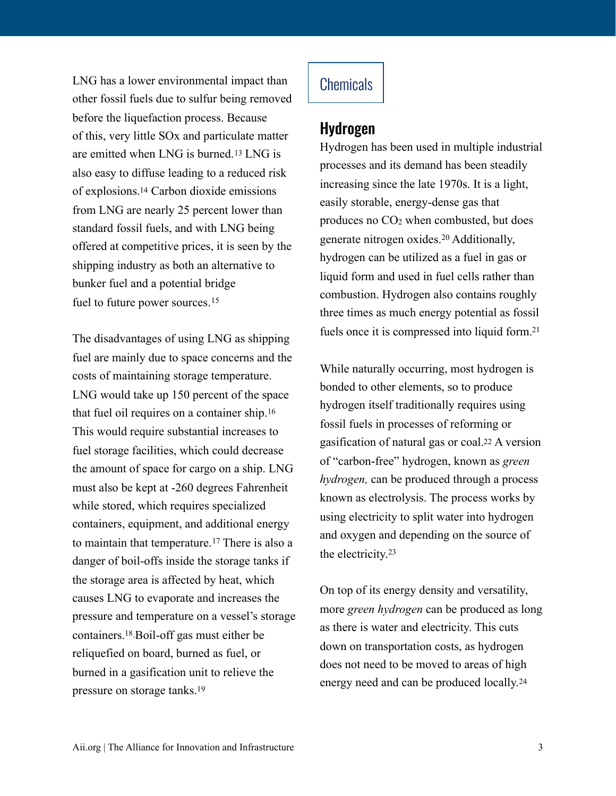<span id="page-2-1"></span>LNG has a lower environmental impact than other fossil fuels due to sulfur being removed before the liquefaction process. Because of this, very little SOx and particulate matter are emitted when LNG is burned.[13](#page-7-12) LNG is also easy to diffuse leading to a reduced risk of explosions[.14](#page-7-13) Carbon dioxide emissions from LNG are nearly 25 percent lower than standard fossil fuels, and with LNG being offered at competitive prices, it is seen by the shipping industry as both an alternative to bunker fuel and a potential bridge fuel to future power sources.<sup>[15](#page-7-14)</sup>

The disadvantages of using LNG as shipping fuel are mainly due to space concerns and the costs of maintaining storage temperature. LNG would take up 150 percent of the space that fuel oil requires on a container ship.[16](#page-7-15) This would require substantial increases to fuel storage facilities, which could decrease the amount of space for cargo on a ship. LNG must also be kept at -260 degrees Fahrenheit while stored, which requires specialized containers, equipment, and additional energy tomaintain that temperature.<sup>[17](#page-7-16)</sup> There is also a danger of boil-offs inside the storage tanks if the storage area is affected by heat, which causes LNG to evaporate and increases the pressure and temperature on a vessel's storage containers. $18$ -Boil-off gas must either be reliquefied on board, burned as fuel, or burned in a gasification unit to relieve the pressure on storage tanks.[19](#page-7-18)

## **Chemicals**

#### Hydrogen

<span id="page-2-7"></span><span id="page-2-0"></span>Hydrogen has been used in multiple industrial processes and its demand has been steadily increasing since the late 1970s. It is a light, easily storable, energy-dense gas that produces no CO2 when combusted, but does generatenitrogen oxides.<sup>[20](#page-7-19)</sup> Additionally, hydrogen can be utilized as a fuel in gas or liquid form and used in fuel cells rather than combustion. Hydrogen also contains roughly three times as much energy potential as fossil fuels once it is compressed into liquid form[.21](#page-7-20)

<span id="page-2-9"></span><span id="page-2-8"></span><span id="page-2-3"></span><span id="page-2-2"></span>While naturally occurring, most hydrogen is bonded to other elements, so to produce hydrogen itself traditionally requires using fossil fuels in processes of reforming or gasification of natural gas or coal[.22](#page-7-21) A version of "carbon-free" hydrogen, known as *green hydrogen,* can be produced through a process known as electrolysis. The process works by using electricity to split water into hydrogen and oxygen and depending on the source of the electricity.[23](#page-7-22)

<span id="page-2-11"></span><span id="page-2-10"></span><span id="page-2-6"></span><span id="page-2-5"></span><span id="page-2-4"></span>On top of its energy density and versatility, more *green hydrogen* can be produced as long as there is water and electricity. This cuts down on transportation costs, as hydrogen does not need to be moved to areas of high energy need and can be produced locally.[24](#page-8-0)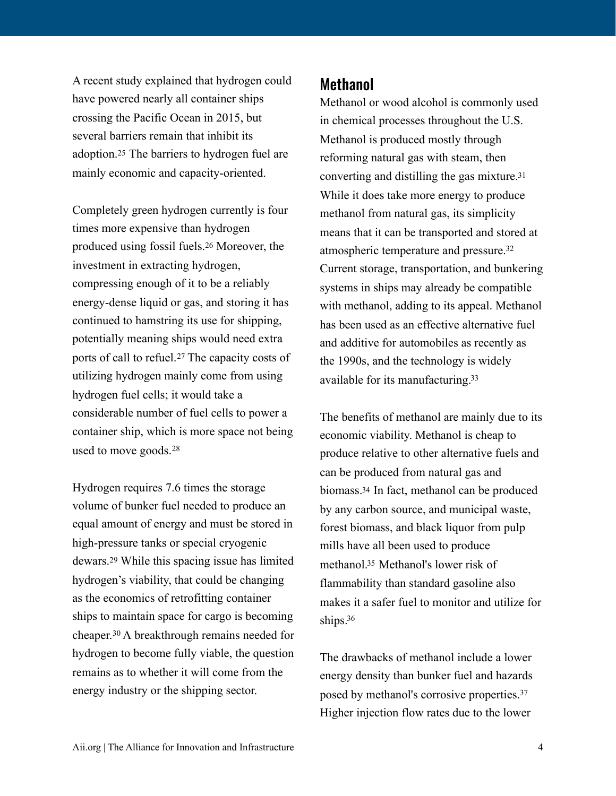A recent study explained that hydrogen could have powered nearly all container ships crossing the Pacific Ocean in 2015, but several barriers remain that inhibit its adoption.[25](#page-8-1) The barriers to hydrogen fuel are mainly economic and capacity-oriented.

<span id="page-3-1"></span><span id="page-3-0"></span>Completely green hydrogen currently is four times more expensive than hydrogen produced using fossil fuels.[26](#page-8-2) Moreover, the investment in extracting hydrogen, compressing enough of it to be a reliably energy-dense liquid or gas, and storing it has continued to hamstring its use for shipping, potentially meaning ships would need extra portsof call to refuel.<sup>[27](#page-8-3)</sup> The capacity costs of utilizing hydrogen mainly come from using hydrogen fuel cells; it would take a considerable number of fuel cells to power a container ship, which is more space not being used to move goods.[28](#page-8-4)

<span id="page-3-5"></span><span id="page-3-4"></span><span id="page-3-3"></span>Hydrogen requires 7.6 times the storage volume of bunker fuel needed to produce an equal amount of energy and must be stored in high-pressure tanks or special cryogenic dewars.[29](#page-8-5) While this spacing issue has limited hydrogen's viability, that could be changing as the economics of retrofitting container ships to maintain space for cargo is becoming cheaper.<sup>30</sup>A breakthrough remains needed for hydrogen to become fully viable, the question remains as to whether it will come from the energy industry or the shipping sector.

#### **Methanol**

<span id="page-3-7"></span><span id="page-3-6"></span>Methanol or wood alcohol is commonly used in chemical processes throughout the U.S. Methanol is produced mostly through reforming natural gas with steam, then converting and distilling the gas mixture[.31](#page-8-7) While it does take more energy to produce methanol from natural gas, its simplicity means that it can be transported and stored at atmospheric temperature and pressure[.32](#page-8-8) Current storage, transportation, and bunkering systems in ships may already be compatible with methanol, adding to its appeal. Methanol has been used as an effective alternative fuel and additive for automobiles as recently as the 1990s, and the technology is widely available for its manufacturing[.33](#page-8-9)

<span id="page-3-9"></span><span id="page-3-8"></span><span id="page-3-2"></span>The benefits of methanol are mainly due to its economic viability. Methanol is cheap to produce relative to other alternative fuels and can be produced from natural gas and biomass[.34](#page-8-10) In fact, methanol can be produced by any carbon source, and municipal waste, forest biomass, and black liquor from pulp mills have all been used to produce methanol[.](#page-8-11)<sup>[35](#page-8-11)</sup> Methanol's lower risk of flammability than standard gasoline also makes it a safer fuel to monitor and utilize for ships.<sup>36</sup>

<span id="page-3-12"></span><span id="page-3-11"></span><span id="page-3-10"></span>The drawbacks of methanol include a lower energy density than bunker fuel and hazards posed by methanol's corrosive properties[.37](#page-8-13) Higher injection flow rates due to the lower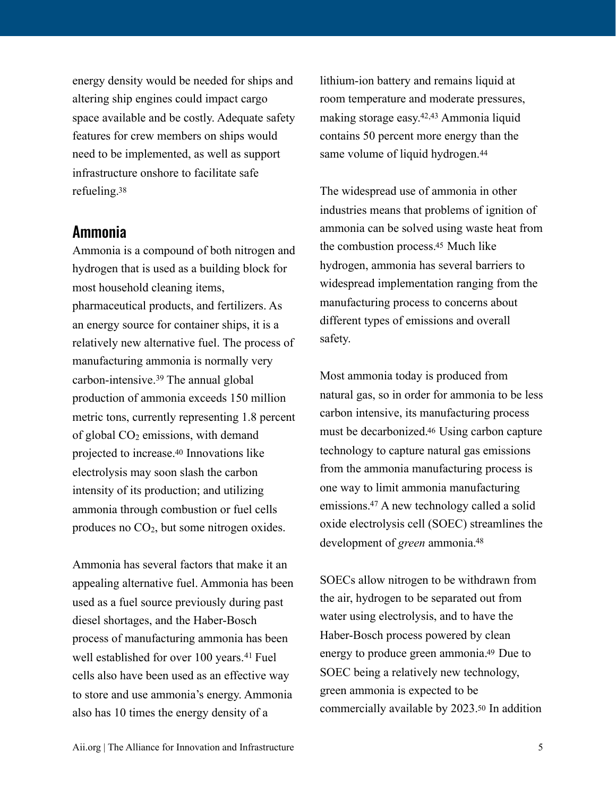energy density would be needed for ships and altering ship engines could impact cargo space available and be costly. Adequate safety features for crew members on ships would need to be implemented, as well as support infrastructure onshore to facilitate safe refueling[.38](#page-8-14)

#### <span id="page-4-0"></span>Ammonia

<span id="page-4-1"></span>Ammonia is a compound of both nitrogen and hydrogen that is used as a building block for most household cleaning items, pharmaceutical products, and fertilizers. As an energy source for container ships, it is a relatively new alternative fuel. The process of manufacturing ammonia is normally very carbon-intensive. $39$ The annual global production of ammonia exceeds 150 million metric tons, currently representing 1.8 percent of global  $CO<sub>2</sub>$  emissions, with demand projected to increase[.40](#page-8-16) Innovations like electrolysis may soon slash the carbon intensity of its production; and utilizing ammonia through combustion or fuel cells produces no CO2, but some nitrogen oxides.

<span id="page-4-2"></span>Ammonia has several factors that make it an appealing alternative fuel. Ammonia has been used as a fuel source previously during past diesel shortages, and the Haber-Bosch process of manufacturing ammonia has been wellestablished for over 100 years.<sup>[41](#page-8-17)</sup> Fuel cells also have been used as an effective way to store and use ammonia's energy. Ammonia also has 10 times the energy density of a

<span id="page-4-5"></span><span id="page-4-4"></span>lithium-ion battery and remains liquid at room temperature and moderate pressures, making storage easy. $42,43$  $42,43$  $42,43$  Ammonia liquid contains 50 percent more energy than the same volume of liquid hydrogen.<sup>[44](#page-8-20)</sup>

<span id="page-4-7"></span><span id="page-4-6"></span>The widespread use of ammonia in other industries means that problems of ignition of ammonia can be solved using waste heat from the combustion process[.45](#page-8-21) Much like hydrogen, ammonia has several barriers to widespread implementation ranging from the manufacturing process to concerns about different types of emissions and overall safety.

<span id="page-4-8"></span>Most ammonia today is produced from natural gas, so in order for ammonia to be less carbon intensive, its manufacturing process must be decarbonized[.46](#page-9-0) Using carbon capture technology to capture natural gas emissions from the ammonia manufacturing process is one way to limit ammonia manufacturing emissions[.](#page-9-1) $47$  A new technology called a solid oxide electrolysis cell (SOEC) streamlines the development of *green* ammonia[.48](#page-9-2)

<span id="page-4-12"></span><span id="page-4-11"></span><span id="page-4-10"></span><span id="page-4-9"></span><span id="page-4-3"></span>SOECs allow nitrogen to be withdrawn from the air, hydrogen to be separated out from water using electrolysis, and to have the Haber-Bosch process powered by clean energy to produce green ammonia[.49](#page-9-3) Due to SOEC being a relatively new technology, green ammonia is expected to be commercially available by 2023[.50](#page-9-4) In addition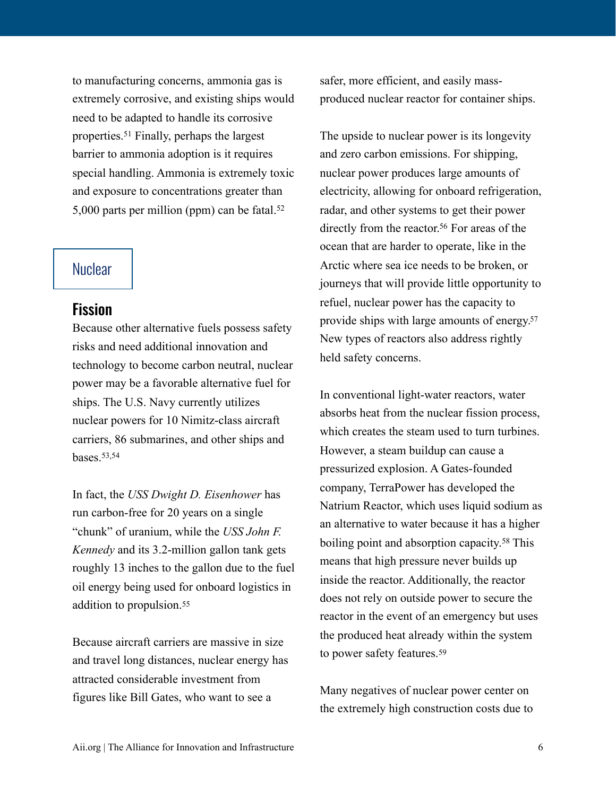<span id="page-5-0"></span>to manufacturing concerns, ammonia gas is extremely corrosive, and existing ships would need to be adapted to handle its corrosive properties.<sup>51</sup>Finally, perhaps the largest barrier to ammonia adoption is it requires special handling. Ammonia is extremely toxic and exposure to concentrations greater than 5,000 parts per million (ppm) can be fatal.[52](#page-9-6)

#### **Nuclear**

#### Fission

Because other alternative fuels possess safety risks and need additional innovation and technology to become carbon neutral, nuclear power may be a favorable alternative fuel for ships. The U.S. Navy currently utilizes nuclear powers for 10 Nimitz-class aircraft carriers, 86 submarines, and other ships and **bases** [53,](#page-9-7)[54](#page-9-8)

<span id="page-5-3"></span><span id="page-5-2"></span>In fact, the *USS Dwight D. Eisenhower* has run carbon-free for 20 years on a single "chunk" of uranium, while the *USS John F. Kennedy* and its 3.2-million gallon tank gets roughly 13 inches to the gallon due to the fuel oil energy being used for onboard logistics in addition to propulsion.[55](#page-9-9)

<span id="page-5-4"></span>Because aircraft carriers are massive in size and travel long distances, nuclear energy has attracted considerable investment from figures like Bill Gates, who want to see a

safer, more efficient, and easily massproduced nuclear reactor for container ships.

<span id="page-5-5"></span><span id="page-5-1"></span>The upside to nuclear power is its longevity and zero carbon emissions. For shipping, nuclear power produces large amounts of electricity, allowing for onboard refrigeration, radar, and other systems to get their power directly from the reactor[.](#page-9-10)<sup>[56](#page-9-10)</sup> For areas of the ocean that are harder to operate, like in the Arctic where sea ice needs to be broken, or journeys that will provide little opportunity to refuel, nuclear power has the capacity to provide ships with large amounts of energy[.57](#page-9-11) New types of reactors also address rightly held safety concerns.

<span id="page-5-7"></span><span id="page-5-6"></span>In conventional light-water reactors, water absorbs heat from the nuclear fission process, which creates the steam used to turn turbines. However, a steam buildup can cause a pressurized explosion. A Gates-founded company, TerraPower has developed the Natrium Reactor, which uses liquid sodium as an alternative to water because it has a higher boilingpoint and absorption capacity.<sup>[58](#page-9-12)</sup> This means that high pressure never builds up inside the reactor. Additionally, the reactor does not rely on outside power to secure the reactor in the event of an emergency but uses the produced heat already within the system to power safety features.[59](#page-9-13)

<span id="page-5-8"></span>Many negatives of nuclear power center on the extremely high construction costs due to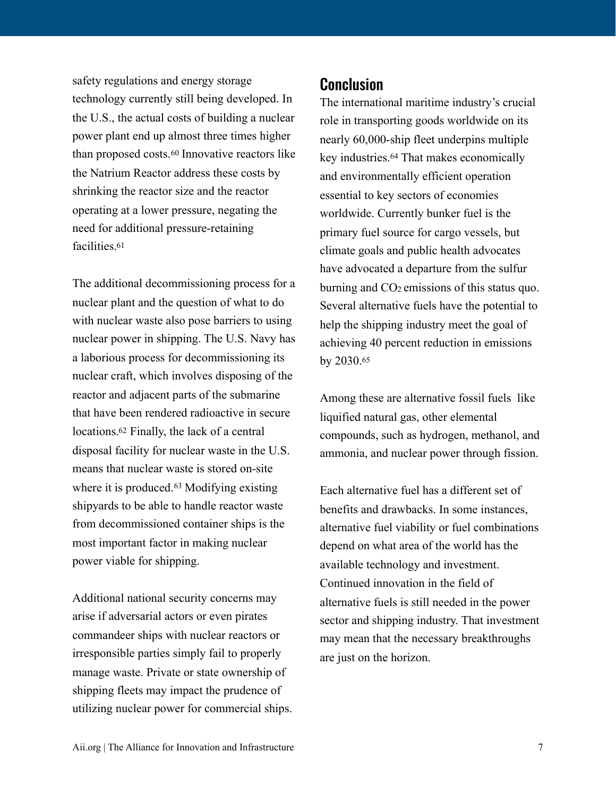<span id="page-6-0"></span>safety regulations and energy storage technology currently still being developed. In the U.S., the actual costs of building a nuclear power plant end up almost three times higher than proposed costs.[60](#page-9-14) Innovative reactors like the Natrium Reactor address these costs by shrinking the reactor size and the reactor operating at a lower pressure, negating the need for additional pressure-retaining facilities[.61](#page-9-15)

<span id="page-6-2"></span><span id="page-6-1"></span>The additional decommissioning process for a nuclear plant and the question of what to do with nuclear waste also pose barriers to using nuclear power in shipping. The U.S. Navy has a laborious process for decommissioning its nuclear craft, which involves disposing of the reactor and adjacent parts of the submarine that have been rendered radioactive in secure locations[.62](#page-9-16) Finally, the lack of a central disposal facility for nuclear waste in the U.S. means that nuclear waste is stored on-site whereit is produced. $63$  Modifying existing shipyards to be able to handle reactor waste from decommissioned container ships is the most important factor in making nuclear power viable for shipping.

Additional national security concerns may arise if adversarial actors or even pirates commandeer ships with nuclear reactors or irresponsible parties simply fail to properly manage waste. Private or state ownership of shipping fleets may impact the prudence of utilizing nuclear power for commercial ships.

## **Conclusion**

<span id="page-6-4"></span>The international maritime industry's crucial role in transporting goods worldwide on its nearly 60,000-ship fleet underpins multiple keyindustries.<sup>[64](#page-9-18)</sup> That makes economically and environmentally efficient operation essential to key sectors of economies worldwide. Currently bunker fuel is the primary fuel source for cargo vessels, but climate goals and public health advocates have advocated a departure from the sulfur burning and  $CO<sub>2</sub>$  emissions of this status quo. Several alternative fuels have the potential to help the shipping industry meet the goal of achieving 40 percent reduction in emissions by 2030.[65](#page-9-19)

<span id="page-6-5"></span>Among these are alternative fossil fuels like liquified natural gas, other elemental compounds, such as hydrogen, methanol, and ammonia, and nuclear power through fission.

<span id="page-6-3"></span>Each alternative fuel has a different set of benefits and drawbacks. In some instances, alternative fuel viability or fuel combinations depend on what area of the world has the available technology and investment. Continued innovation in the field of alternative fuels is still needed in the power sector and shipping industry. That investment may mean that the necessary breakthroughs are just on the horizon.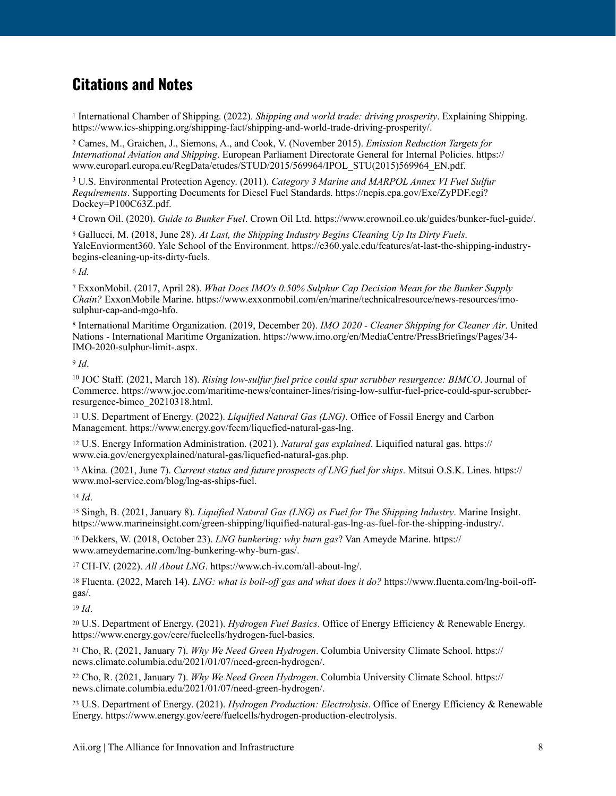## **Citations and Notes**

<span id="page-7-0"></span> International Chamber of Shipping. (2022). *Shipping and world trade: driving prosperity*. Explaining Shipping. [1](#page-0-0) <https://www.ics-shipping.org/shipping-fact/shipping-and-world-trade-driving-prosperity/>.

<span id="page-7-1"></span> Cames, M., Graichen, J., Siemons, A., and Cook, V. (November 2015). *Emission Reduction Targets for* [2](#page-0-1) *International Aviation and Shipping*. European Parliament Directorate General for Internal Policies. https:// www.europarl.europa.eu/RegData/etudes/STUD/2015/569964/IPOL\_STU(2015)569964\_EN.pdf.

<span id="page-7-2"></span><sup>[3](#page-0-2)</sup> U.S. Environmental Protection Agency. (2011). *Category 3 Marine and MARPOL Annex VI Fuel Sulfur Requirements*. Supporting Documents for Diesel Fuel Standards. [https://nepis.epa.gov/Exe/ZyPDF.cgi?](https://nepis.epa.gov/Exe/ZyPDF.cgi?Dockey=P100C63Z.pdf) [Dockey=P100C63Z.pdf.](https://nepis.epa.gov/Exe/ZyPDF.cgi?Dockey=P100C63Z.pdf)

<span id="page-7-3"></span>Crown Oil. (2020). *Guide to Bunker Fuel*. Crown Oil Ltd. [https://www.crownoil.co.uk/guides/bunker-fuel-guide/.](https://www.crownoil.co.uk/guides/bunker-fuel-guide/) [4](#page-1-0)

<span id="page-7-4"></span> Gallucci, M. (2018, June 28). *At Last, the Shipping Industry Begins Cleaning Up Its Dirty Fuels*. [5](#page-1-1) YaleEnviorment360. Yale School of the Environment. [https://e360.yale.edu/features/at-last-the-shipping-industry](https://e360.yale.edu/features/at-last-the-shipping-industry-begins-cleaning-up-its-dirty-fuels)[begins-cleaning-up-its-dirty-fuels](https://e360.yale.edu/features/at-last-the-shipping-industry-begins-cleaning-up-its-dirty-fuels).

<span id="page-7-5"></span>*Id.* [6](#page-1-2)

<span id="page-7-6"></span> ExxonMobil. (2017, April 28). *What Does IMO's 0.50% Sulphur Cap Decision Mean for the Bunker Supply* [7](#page-1-3) *Chain?* ExxonMobile Marine. [https://www.exxonmobil.com/en/marine/technicalresource/news-resources/imo](https://www.exxonmobil.com/en/marine/technicalresource/news-resources/imo-sulphur-cap-and-mgo-hfo)[sulphur-cap-and-mgo-hfo.](https://www.exxonmobil.com/en/marine/technicalresource/news-resources/imo-sulphur-cap-and-mgo-hfo)

<span id="page-7-7"></span> International Maritime Organization. (2019, December 20). *IMO 2020 - Cleaner Shipping for Cleaner Air*. United [8](#page-1-4) Nations - International Maritime Organization. [https://www.imo.org/en/MediaCentre/PressBriefings/Pages/34-](https://www.imo.org/en/MediaCentre/PressBriefings/Pages/34-IMO-2020-sulphur-limit-.aspx) [IMO-2020-sulphur-limit-.aspx](https://www.imo.org/en/MediaCentre/PressBriefings/Pages/34-IMO-2020-sulphur-limit-.aspx).

<span id="page-7-8"></span>*Id*. [9](#page-1-5)

<span id="page-7-9"></span><sup>[10](#page-1-6)</sup> JOC Staff. (2021, March 18). *Rising low-sulfur fuel price could spur scrubber resurgence: BIMCO*. Journal of Commerce. [https://www.joc.com/maritime-news/container-lines/rising-low-sulfur-fuel-price-could-spur-scrubber](https://www.joc.com/maritime-news/container-lines/rising-low-sulfur-fuel-price-could-spur-scrubber-resurgence-bimco_20210318.html)[resurgence-bimco\\_20210318.html.](https://www.joc.com/maritime-news/container-lines/rising-low-sulfur-fuel-price-could-spur-scrubber-resurgence-bimco_20210318.html) 

<span id="page-7-10"></span> U.S. Department of Energy. (2022). *Liquified Natural Gas (LNG)*. Office of Fossil Energy and Carbon [11](#page-1-7) Management.<https://www.energy.gov/fecm/liquefied-natural-gas-lng>.

<span id="page-7-11"></span><sup>[12](#page-1-8)</sup> U.S. Energy Information Administration. (2021). *Natural gas explained*. Liquified natural gas. [https://](https://www.eia.gov/energyexplained/natural-gas/liquefied-natural-gas.php) [www.eia.gov/energyexplained/natural-gas/liquefied-natural-gas.php](https://www.eia.gov/energyexplained/natural-gas/liquefied-natural-gas.php).

<span id="page-7-12"></span> Akina. (2021, June 7). *Current status and future prospects of LNG fuel for ships*. Mitsui O.S.K. Lines. [https://](https://www.mol-service.com/blog/lng-as-ships-fuel) [13](#page-2-0) [www.mol-service.com/blog/lng-as-ships-fuel.](https://www.mol-service.com/blog/lng-as-ships-fuel)

<span id="page-7-13"></span>*Id*. [14](#page-2-1)

<span id="page-7-14"></span> Singh, B. (2021, January 8). *Liquified Natural Gas (LNG) as Fuel for The Shipping Industry*. Marine Insight. [15](#page-2-2) [https://www.marineinsight.com/green-shipping/liquified-natural-gas-lng-as-fuel-for-the-shipping-industry/.](https://www.marineinsight.com/green-shipping/liquified-natural-gas-lng-as-fuel-for-the-shipping-industry/)

<span id="page-7-15"></span> Dekkers, W. (2018, October 23). *LNG bunkering: why burn gas*? Van Ameyde Marine. [https://](https://www.ameydemarine.com/lng-bunkering-why-burn-gas/) [16](#page-2-3) [www.ameydemarine.com/lng-bunkering-why-burn-gas/](https://www.ameydemarine.com/lng-bunkering-why-burn-gas/).

<span id="page-7-16"></span><sup>[17](#page-2-4)</sup> CH-IV. (2022). *All About LNG*.<https://www.ch-iv.com/all-about-lng/>.

<span id="page-7-17"></span><sup>[18](#page-2-5)</sup> Fluenta. (2022, March 14). *LNG: what is boil-off gas and what does it do?* [https://www.fluenta.com/lng-boil-off](https://www.fluenta.com/lng-boil-off-gas/) [gas/](https://www.fluenta.com/lng-boil-off-gas/).

<span id="page-7-18"></span> $19$  *Id*.

<span id="page-7-19"></span> U.S. Department of Energy. (2021). *Hydrogen Fuel Basics*. Office of Energy Efficiency & Renewable Energy. [20](#page-2-7) <https://www.energy.gov/eere/fuelcells/hydrogen-fuel-basics>.

<span id="page-7-20"></span> Cho, R. (2021, January 7). *Why We Need Green Hydrogen*. Columbia University Climate School. [https://](https://news.climate.columbia.edu/2021/01/07/need-green-hydrogen/) [21](#page-2-8) [news.climate.columbia.edu/2021/01/07/need-green-hydrogen/.](https://news.climate.columbia.edu/2021/01/07/need-green-hydrogen/)

<span id="page-7-21"></span> Cho, R. (2021, January 7). *Why We Need Green Hydrogen*. Columbia University Climate School. [https://](https://news.climate.columbia.edu/2021/01/07/need-green-hydrogen/) [22](#page-2-9) [news.climate.columbia.edu/2021/01/07/need-green-hydrogen/.](https://news.climate.columbia.edu/2021/01/07/need-green-hydrogen/)

<span id="page-7-22"></span> U.S. Department of Energy. (2021). *Hydrogen Production: Electrolysis*. Office of Energy Efficiency & Renewable [23](#page-2-10) Energy.<https://www.energy.gov/eere/fuelcells/hydrogen-production-electrolysis>.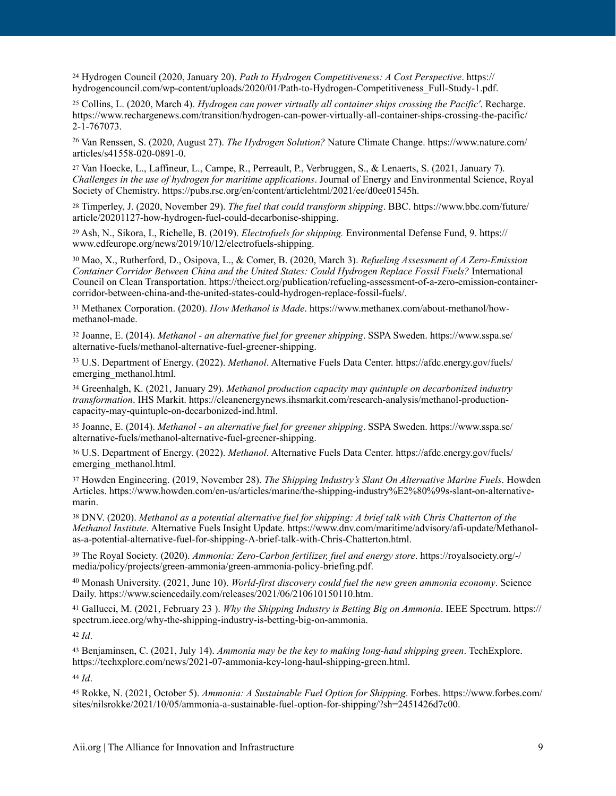<span id="page-8-0"></span> Hydrogen Council (2020, January 20). *Path to Hydrogen Competitiveness: A Cost Perspective*. [https://](https://hydrogencouncil.com/wp-content/uploads/2020/01/Path-to-Hydrogen-Competitiveness_Full-Study-1.pdf) [24](#page-2-11) [hydrogencouncil.com/wp-content/uploads/2020/01/Path-to-Hydrogen-Competitiveness\\_Full-Study-1.pdf](https://hydrogencouncil.com/wp-content/uploads/2020/01/Path-to-Hydrogen-Competitiveness_Full-Study-1.pdf).

<span id="page-8-1"></span> Collins, L. (2020, March 4). *Hydrogen can power virtually all container ships crossing the Pacific'*. Recharge. [25](#page-3-0) [https://www.rechargenews.com/transition/hydrogen-can-power-virtually-all-container-ships-crossing-the-pacific/](https://www.rechargenews.com/transition/hydrogen-can-power-virtually-all-container-ships-crossing-the-pacific/2-1-767073) [2-1-767073.](https://www.rechargenews.com/transition/hydrogen-can-power-virtually-all-container-ships-crossing-the-pacific/2-1-767073)

<span id="page-8-2"></span><sup>[26](#page-3-1)</sup> Van Renssen, S. (2020, August 27). *The Hydrogen Solution?* Nature Climate Change. [https://www.nature.com/](https://www.nature.com/articles/s41558-020-0891-0) [articles/s41558-020-0891-0.](https://www.nature.com/articles/s41558-020-0891-0)

<span id="page-8-3"></span><sup>27</sup>Van Hoecke, L., Laffineur, L., Campe, R., Perreault, P., Verbruggen, S., & Lenaerts, S. (2021, January 7). *Challenges in the use of hydrogen for maritime applications*. Journal of Energy and Environmental Science, Royal Society of Chemistry.<https://pubs.rsc.org/en/content/articlehtml/2021/ee/d0ee01545h>.

<span id="page-8-4"></span> Timperley, J. (2020, November 29). *The fuel that could transform shipping*. BBC. [https://www.bbc.com/future/](https://www.bbc.com/future/article/20201127-how-hydrogen-fuel-could-decarbonise-shipping) [28](#page-3-3) [article/20201127-how-hydrogen-fuel-could-decarbonise-shipping](https://www.bbc.com/future/article/20201127-how-hydrogen-fuel-could-decarbonise-shipping).

<span id="page-8-5"></span> Ash, N., Sikora, I., Richelle, B. (2019). *Electrofuels for shipping.* Environmental Defense Fund, 9. https:// [29](#page-3-4) www.edfeurope.org/news/2019/10/12/electrofuels-shipping.

<span id="page-8-6"></span> Mao, X., Rutherford, D., Osipova, L., & Comer, B. (2020, March 3). *Refueling Assessment of A Zero-Emission* [30](#page-3-5) *Container Corridor Between China and the United States: Could Hydrogen Replace Fossil Fuels?* International Council on Clean Transportation. [https://theicct.org/publication/refueling-assessment-of-a-zero-emission-container](https://theicct.org/publication/refueling-assessment-of-a-zero-emission-container-corridor-between-china-and-the-united-states-could-hydrogen-replace-fossil-fuels/)[corridor-between-china-and-the-united-states-could-hydrogen-replace-fossil-fuels/.](https://theicct.org/publication/refueling-assessment-of-a-zero-emission-container-corridor-between-china-and-the-united-states-could-hydrogen-replace-fossil-fuels/)

<span id="page-8-7"></span> Methanex Corporation. (2020). *How Methanol is Made*. [https://www.methanex.com/about-methanol/how-](https://www.methanex.com/about-methanol/how-methanol-made) [31](#page-3-6) [methanol-made](https://www.methanex.com/about-methanol/how-methanol-made).

<span id="page-8-8"></span> Joanne, E. (2014). *Methanol - an alternative fuel for greener shipping*. SSPA Sweden. [https://www.sspa.se/](https://www.sspa.se/alternative-fuels/methanol-alternative-fuel-greener-shipping) [32](#page-3-7) [alternative-fuels/methanol-alternative-fuel-greener-shipping](https://www.sspa.se/alternative-fuels/methanol-alternative-fuel-greener-shipping).

<span id="page-8-9"></span> U.S. Department of Energy. (2022). *Methanol*. Alternative Fuels Data Center. [https://afdc.energy.gov/fuels/](https://afdc.energy.gov/fuels/emerging_methanol.html) [33](#page-3-8) emerging methanol.html.

<span id="page-8-10"></span> Greenhalgh, K. (2021, January 29). *Methanol production capacity may quintuple on decarbonized industry* [34](#page-3-9) *transformation*. IHS Markit. [https://cleanenergynews.ihsmarkit.com/research-analysis/methanol-production](https://cleanenergynews.ihsmarkit.com/research-analysis/methanol-production-capacity-may-quintuple-on-decarbonized-ind.html)[capacity-may-quintuple-on-decarbonized-ind.html.](https://cleanenergynews.ihsmarkit.com/research-analysis/methanol-production-capacity-may-quintuple-on-decarbonized-ind.html) 

<span id="page-8-11"></span> Joanne, E. (2014). *Methanol - an alternative fuel for greener shipping*. SSPA Sweden. [https://www.sspa.se/](https://www.sspa.se/alternative-fuels/methanol-alternative-fuel-greener-shipping) [35](#page-3-10) [alternative-fuels/methanol-alternative-fuel-greener-shipping](https://www.sspa.se/alternative-fuels/methanol-alternative-fuel-greener-shipping).

<span id="page-8-12"></span> U.S. Department of Energy. (2022). *Methanol*. Alternative Fuels Data Center. [https://afdc.energy.gov/fuels/](https://afdc.energy.gov/fuels/emerging_methanol.html) [36](#page-3-11) emerging methanol.html.

<span id="page-8-13"></span><sup>[37](#page-3-12)</sup> Howden Engineering. (2019, November 28). *The Shipping Industry's Slant On Alternative Marine Fuels*. Howden Articles. [https://www.howden.com/en-us/articles/marine/the-shipping-industry%E2%80%99s-slant-on-alternative](https://www.howden.com/en-us/articles/marine/the-shipping-industry%E2%80%99s-slant-on-alternative-marin)[marin](https://www.howden.com/en-us/articles/marine/the-shipping-industry%E2%80%99s-slant-on-alternative-marin).

<span id="page-8-14"></span> DNV. (2020). *Methanol as a potential alternative fuel for shipping: A brief talk with Chris Chatterton of the* [38](#page-4-0) *Methanol Institute*. Alternative Fuels Insight Update. [https://www.dnv.com/maritime/advisory/afi-update/Methanol](https://www.dnv.com/maritime/advisory/afi-update/Methanol-as-a-potential-alternative-fuel-for-shipping-A-brief-talk-with-Chris-Chatterton.html)[as-a-potential-alternative-fuel-for-shipping-A-brief-talk-with-Chris-Chatterton.html.](https://www.dnv.com/maritime/advisory/afi-update/Methanol-as-a-potential-alternative-fuel-for-shipping-A-brief-talk-with-Chris-Chatterton.html) 

<span id="page-8-15"></span> The Royal Society. (2020). *Ammonia: Zero-Carbon fertilizer, fuel and energy store*. [https://royalsociety.org/-/](https://royalsociety.org/-/media/policy/projects/green-ammonia/green-ammonia-policy-briefing.pdf) [39](#page-4-1) [media/policy/projects/green-ammonia/green-ammonia-policy-briefing.pdf.](https://royalsociety.org/-/media/policy/projects/green-ammonia/green-ammonia-policy-briefing.pdf)

<span id="page-8-16"></span><sup>[40](#page-4-2)</sup> Monash University. (2021, June 10). *World-first discovery could fuel the new green ammonia economy*. Science Daily. [https://www.sciencedaily.com/releases/2021/06/210610150110.htm.](https://www.sciencedaily.com/releases/2021/06/210610150110.htm)

<span id="page-8-17"></span> Gallucci, M. (2021, February 23 ). *Why the Shipping Industry is Betting Big on Ammonia*. IEEE Spectrum. [https://](https://spectrum.ieee.org/why-the-shipping-industry-is-betting-big-on-ammonia) [41](#page-4-3) [spectrum.ieee.org/why-the-shipping-industry-is-betting-big-on-ammonia](https://spectrum.ieee.org/why-the-shipping-industry-is-betting-big-on-ammonia).

<span id="page-8-18"></span> $42$  *Id.* 

<span id="page-8-19"></span> Benjaminsen, C. (2021, July 14). *Ammonia may be the key to making long-haul shipping green*. TechExplore. [43](#page-4-5) <https://techxplore.com/news/2021-07-ammonia-key-long-haul-shipping-green.html>.

<span id="page-8-20"></span> $44$  *Id*.

<span id="page-8-21"></span> Rokke, N. (2021, October 5). *Ammonia: A Sustainable Fuel Option for Shipping*. Forbes. [https://www.forbes.com/](https://www.forbes.com/sites/nilsrokke/2021/10/05/ammonia-a-sustainable-fuel-option-for-shipping/?sh=2451426d7c00) [45](#page-4-7) [sites/nilsrokke/2021/10/05/ammonia-a-sustainable-fuel-option-for-shipping/?sh=2451426d7c00.](https://www.forbes.com/sites/nilsrokke/2021/10/05/ammonia-a-sustainable-fuel-option-for-shipping/?sh=2451426d7c00)